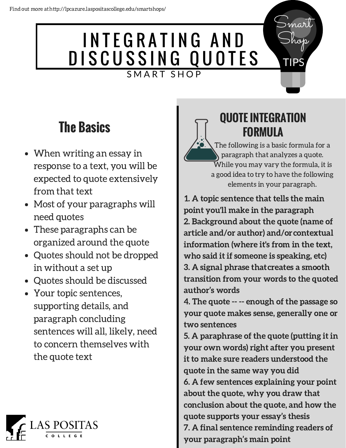## INTEGRATING AND DISCUSSING QUOTES SMART SHOP

## **The Basics**

- When writing an essay in response to a text, you will be expected to quote extensively from that text
- Most of your paragraphs will need quotes
- These paragraphs can be organized around the quote
- Quotes should not be dropped in without a set up
- Quotes should be discussed
- Your topic sentences, supporting details, and paragraph concluding sentences will all, likely, need to concern themselves with the quote text



#### **QUOTE INTEGRATION FORMULA**

The following is a basic formula for a paragraph that analyzes a quote. While you may vary the formula, it is a good idea to try to have the following elements in your paragraph.

Smart

Shop

TIPS

1. A topic sentence that tells the main point you'll make in the paragraph 2. Background about the quote (name of article and/or author) and/orcontextual information (where it's from in the text, who said it if someone is speaking, etc) 3. A signal phrase thatcreates a smooth transition from your words to the quoted author's words

4. The quote -- -- enough of the passage so your quote makes sense, generally one or two sentences

5. A paraphrase of the quote (putting it in your own words) right after you present it to make sure readers understood the quote in the same way you did 6. A few sentences explaining your point about the quote, why you draw that conclusion about the quote, and how the quote supports your essay's thesis 7. A final sentence reminding readers of your paragraph's main point